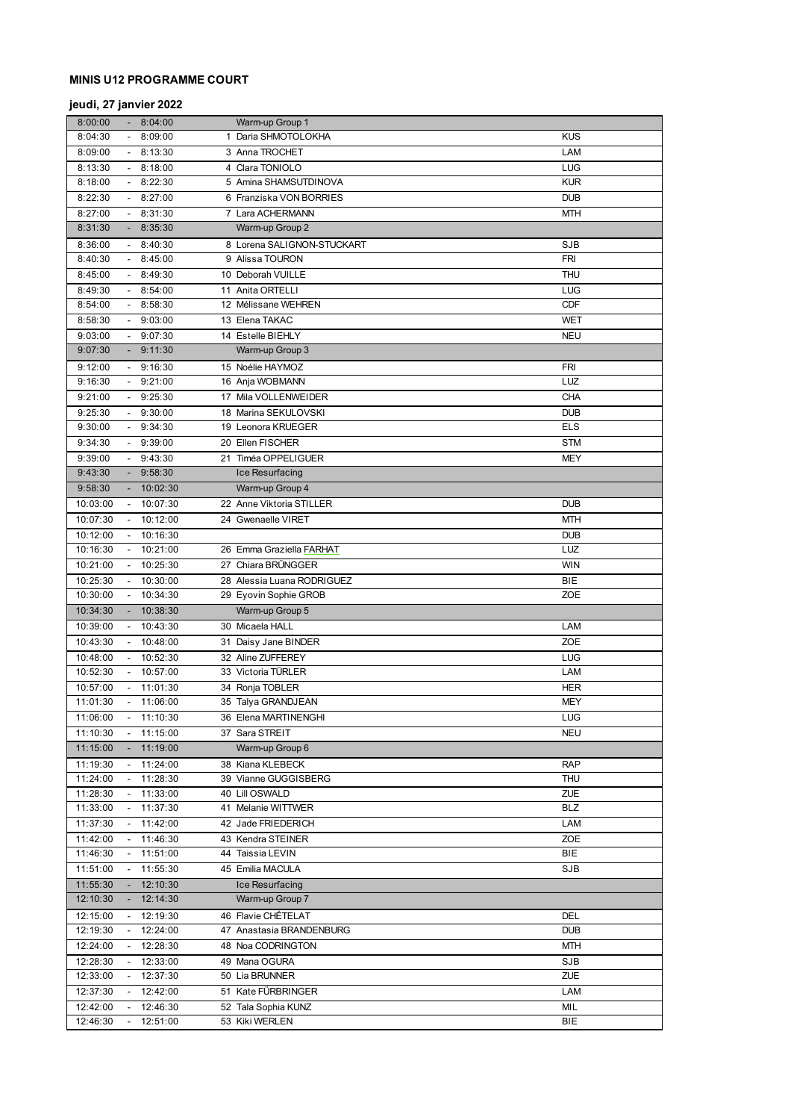# **MINIS U12 PROGRAMME COURT**

# **jeudi, 27 janvier 2022**

| 8:00:00  |                             | 8:04:00              | Warm-up Group 1                    |            |
|----------|-----------------------------|----------------------|------------------------------------|------------|
| 8:04:30  |                             | 8:09:00              | 1 Daria SHMOTOLOKHA                | <b>KUS</b> |
| 8:09:00  |                             | $-8:13:30$           | 3 Anna TROCHET                     | LAM        |
| 8:13:30  |                             | 8:18:00              | 4 Clara TONIOLO                    | LUG        |
| 8:18:00  |                             | $-8:22:30$           | 5 Amina SHAMSUTDINOVA              | <b>KUR</b> |
| 8:22:30  |                             | 8:27:00              | 6 Franziska VON BORRIES            | <b>DUB</b> |
| 8:27:00  |                             | 8:31:30              | 7 Lara ACHERMANN                   | <b>MTH</b> |
| 8:31:30  |                             | 8:35:30              | Warm-up Group 2                    |            |
| 8:36:00  |                             | $-8:40:30$           | 8 Lorena SALIGNON-STUCKART         | <b>SJB</b> |
| 8:40:30  |                             | $-8:45:00$           | 9 Alissa TOURON                    | <b>FRI</b> |
| 8:45:00  |                             | $-8:49:30$           | 10 Deborah VUILLE                  | <b>THU</b> |
| 8:49:30  |                             | 8:54:00              | 11 Anita ORTELLI                   | LUG        |
| 8:54:00  |                             | 8:58:30              | 12 Mélissane WEHREN                | <b>CDF</b> |
| 8:58:30  |                             | 9:03:00              | 13 Elena TAKAC                     | <b>WET</b> |
| 9:03:00  |                             | 9:07:30              | 14 Estelle BIEHLY                  | <b>NEU</b> |
| 9:07:30  |                             | $-9:11:30$           | Warm-up Group 3                    |            |
|          |                             |                      |                                    |            |
| 9:12:00  |                             | $-9:16:30$           | 15 Noélie HAYMOZ                   | <b>FRI</b> |
| 9:16:30  |                             | $-9:21:00$           | 16 Anja WOBMANN                    | LUZ        |
| 9:21:00  |                             | 9:25:30              | 17 Mila VOLLENWEIDER               | <b>CHA</b> |
| 9:25:30  |                             | 9:30:00              | 18 Marina SEKULOVSKI               | <b>DUB</b> |
| 9:30:00  |                             | $-9:34:30$           | 19 Leonora KRUEGER                 | <b>ELS</b> |
| 9:34:30  |                             | $-9:39:00$           | 20 Ellen FISCHER                   | <b>STM</b> |
| 9:39:00  |                             | 9:43:30              | 21 Timéa OPPELIGUER                | <b>MEY</b> |
| 9:43:30  |                             | 9:58:30              | Ice Resurfacing                    |            |
| 9:58:30  |                             | 10:02:30             | Warm-up Group 4                    |            |
| 10:03:00 |                             | 10:07:30             | 22 Anne Viktoria STILLER           | <b>DUB</b> |
| 10:07:30 |                             | 10:12:00             | 24 Gwenaelle VIRET                 | <b>MTH</b> |
| 10:12:00 |                             | $-10:16:30$          |                                    | <b>DUB</b> |
| 10:16:30 | $\sim$                      | 10:21:00             | 26 Emma Graziella FARHAT           | LUZ        |
| 10:21:00 | $\sim$                      | 10:25:30             | 27 Chiara BRÜNGGER                 | <b>WIN</b> |
| 10:25:30 |                             | 10:30:00             | 28 Alessia Luana RODRIGUEZ         | <b>BIE</b> |
| 10:30:00 | $\overline{\phantom{a}}$    | 10:34:30             | 29 Eyovin Sophie GROB              | ZOE        |
| 10:34:30 |                             | 10:38:30             | Warm-up Group 5                    |            |
| 10:39:00 |                             | 10:43:30             | 30 Micaela HALL                    | LAM        |
| 10:43:30 |                             | 10:48:00             | 31 Daisy Jane BINDER               | ZOE        |
| 10:48:00 |                             | 10:52:30             | 32 Aline ZUFFEREY                  | LUG        |
| 10:52:30 |                             | 10:57:00             | 33 Victoria TÜRLER                 | LAM        |
| 10:57:00 |                             | 11:01:30             | 34 Ronja TOBLER                    | <b>HER</b> |
| 11:01:30 | $\sim$                      | 11:06:00             | 35 Talya GRANDJEAN                 | <b>MEY</b> |
| 11:06:00 | $\blacksquare$              | 11:10:30             | 36 Elena MARTINENGHI               | <b>LUG</b> |
| 11:10:30 | $\mathcal{L}_{\mathcal{A}}$ | 11:15:00             | 37 Sara STREIT                     | <b>NEU</b> |
| 11:15:00 |                             | 11:19:00             | Warm-up Group 6                    |            |
| 11:19:30 | $\blacksquare$              | 11:24:00             | 38 Kiana KLEBECK                   | <b>RAP</b> |
| 11:24:00 |                             | 11:28:30             | 39 Vianne GUGGISBERG               | THU        |
| 11:28:30 |                             | 11:33:00             | 40 Lill OSWALD                     | ZUE        |
| 11:33:00 |                             | 11:37:30             | 41 Melanie WITTWER                 | <b>BLZ</b> |
| 11:37:30 |                             | 11:42:00             | 42 Jade FRIEDERICH                 | LAM        |
| 11:42:00 |                             | 11:46:30             | 43 Kendra STEINER                  | ZOE        |
| 11:46:30 |                             | 11:51:00             | 44 Taissia LEVIN                   | BIE        |
| 11:51:00 |                             | 11:55:30             | 45 Emilia MACULA                   | <b>SJB</b> |
| 11:55:30 |                             |                      |                                    |            |
| 12:10:30 | $\sim$                      | 12:10:30<br>12:14:30 | Ice Resurfacing<br>Warm-up Group 7 |            |
|          |                             |                      |                                    |            |
| 12:15:00 | $\blacksquare$              | 12:19:30             | 46 Flavie CHÉTELAT                 | DEL        |
| 12:19:30 |                             | 12:24:00             | 47 Anastasia BRANDENBURG           | <b>DUB</b> |
| 12:24:00 |                             | 12:28:30             | 48 Noa CODRINGTON                  | <b>MTH</b> |
| 12:28:30 |                             | 12:33:00             | 49 Mana OGURA                      | SJB        |
| 12:33:00 |                             | 12:37:30             | 50 Lia BRUNNER                     | ZUE        |
| 12:37:30 |                             | 12:42:00             | 51 Kate FÜRBRINGER                 | LAM        |
| 12:42:00 |                             | 12:46:30             | 52 Tala Sophia KUNZ                | MIL        |
| 12:46:30 |                             | 12:51:00             | 53 Kiki WERLEN                     | BIE        |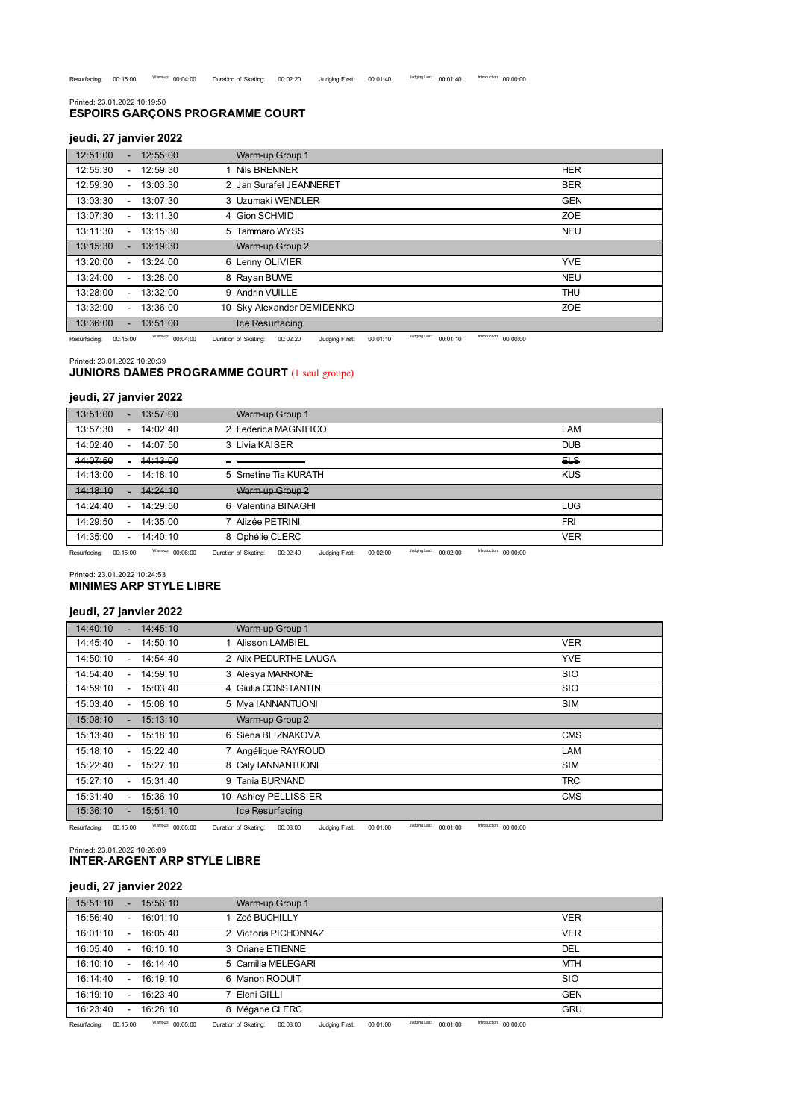**ESPOIRS GARÇONS PROGRAMME COURT** Printed: 23.01.2022 10:19:50

#### **jeudi, 27 janvier 2022**

| 12:51:00 |        | 12:55:00 | Warm-up Group 1            |            |
|----------|--------|----------|----------------------------|------------|
| 12:55:30 |        | 12:59:30 | 1 Nils BRENNER             | <b>HER</b> |
| 12:59:30 | $\sim$ | 13:03:30 | 2 Jan Surafel JEANNERET    | <b>BER</b> |
| 13:03:30 |        | 13:07:30 | 3 Uzumaki WENDLER          | <b>GEN</b> |
| 13:07:30 |        | 13:11:30 | 4 Gion SCHMID              | <b>ZOE</b> |
| 13:11:30 |        | 13:15:30 | 5 Tammaro WYSS             | <b>NEU</b> |
| 13:15:30 |        | 13:19:30 | Warm-up Group 2            |            |
| 13:20:00 |        | 13:24:00 | 6 Lenny OLIVIER            | <b>YVE</b> |
| 13:24:00 |        | 13:28:00 | 8 Rayan BUWE               | <b>NEU</b> |
| 13:28:00 |        | 13:32:00 | 9 Andrin VUILLE            | <b>THU</b> |
| 13:32:00 |        | 13:36:00 | 10 Sky Alexander DEMIDENKO | <b>ZOE</b> |
| 13:36:00 |        | 13:51:00 | Ice Resurfacing            |            |

Resurfacing: 00:15:00 Warm-up: 00:04:00 Duration of Skating: 00:02:20 Judging First: 00:01:10 Judging Last: 00:01:10 Introduction: 00:00:00

Printed: 23.01.2022 10:20:39

## **JUNIORS DAMES PROGRAMME COURT** (1 seul groupe)

#### **jeudi, 27 janvier 2022**

| 13:51:00 | $\sim$                   | 13:57:00 | Warm-up Group 1        |            |
|----------|--------------------------|----------|------------------------|------------|
| 13:57:30 | $\overline{\phantom{0}}$ | 14:02:40 | 2 Federica MAGNIFICO   | LAM        |
| 14:02:40 | $\sim$                   | 14:07:50 | 3 Livia KAISER         | <b>DUB</b> |
| 14:07:50 |                          | 14:13:00 |                        | 모          |
| 14:13:00 | $\overline{\phantom{0}}$ | 14:18:10 | 5 Smetine Tia KURATH   | <b>KUS</b> |
| 14.18.10 |                          | 14.24.10 | Warm-up Group 2        |            |
| 14:24:40 | $\overline{\phantom{0}}$ | 14:29:50 | Valentina BINAGHI<br>6 | <b>LUG</b> |
| 14:29:50 | ۰.                       | 14:35:00 | Alizée PETRINI         | <b>FRI</b> |
| 14:35:00 | ۰.                       | 14:40:10 | 8 Ophélie CLERC        | <b>VER</b> |
|          |                          |          |                        |            |

Resurfacing: 00:15:00 Warm-up: 00:06:00 Duration of Skating: 00:02:40 Judging First: 00:02:00 Judging Last: 00:02:00 Meroduction: 00:00:00

Printed: 23.01.2022 10:24:53

#### **MINIMES ARP STYLE LIBRE**

#### **jeudi, 27 janvier 2022**

| 14:40:10 | 14:45:10 | Warm-up Group 1       |            |
|----------|----------|-----------------------|------------|
| 14:45:40 | 14:50:10 | Alisson LAMBIEL       | <b>VER</b> |
| 14:50:10 | 14:54:40 | 2 Alix PEDURTHE LAUGA | <b>YVE</b> |
| 14:54:40 | 14:59:10 | 3 Alesya MARRONE      | <b>SIO</b> |
| 14:59:10 | 15:03:40 | 4 Giulia CONSTANTIN   | <b>SIO</b> |
| 15:03:40 | 15:08:10 | 5 Mya IANNANTUONI     | <b>SIM</b> |
| 15:08:10 | 15:13:10 | Warm-up Group 2       |            |
| 15:13:40 | 15:18:10 | 6 Siena BLIZNAKOVA    | <b>CMS</b> |
| 15:18:10 | 15:22:40 | 7 Angélique RAYROUD   | LAM        |
| 15:22:40 | 15:27:10 | 8 Caly IANNANTUONI    | <b>SIM</b> |
| 15:27:10 | 15:31:40 | 9 Tanja BURNAND       | <b>TRC</b> |
| 15:31:40 | 15:36:10 | 10 Ashley PELLISSIER  | <b>CMS</b> |
| 15:36:10 | 15:51:10 | Ice Resurfacing       |            |

Resurfacing: 00:15:00 Warm-up: 00:05:00 Duration of Skating: 00:03:00 Judging First: 00:01:00 <sup>Judging Last</sup>: 00:01:00 Introduction: 00:00:00

Printed: 23.01.2022 10:26:09 **INTER-ARGENT ARP STYLE LIBRE**

# **jeudi, 27 janvier 2022**

| 15:51:10 | $\sim$                   | 15:56:10 | Warm-up Group 1      |            |
|----------|--------------------------|----------|----------------------|------------|
| 15:56:40 | $\sim$                   | 16:01:10 | Zoé BUCHILLY         | <b>VER</b> |
| 16:01:10 | $\sim$                   | 16:05:40 | 2 Victoria PICHONNAZ | <b>VER</b> |
| 16:05:40 | $\sim$                   | 16:10:10 | 3 Oriane ETIENNE     | DEL        |
| 16:10:10 | $\sim$                   | 16:14:40 | 5 Camilla MELEGARI   | <b>MTH</b> |
| 16:14:40 | $\sim$                   | 16:19:10 | 6 Manon RODUIT       | <b>SIO</b> |
| 16:19:10 | $\overline{\phantom{a}}$ | 16:23:40 | 7 Eleni GILLI        | <b>GEN</b> |
| 16:23:40 | $\sim$                   | 16:28:10 | Mégane CLERC<br>8    | <b>GRU</b> |

Resurfacing: 00:15:00 Warm-up: 00:05:00 Duration of Skating: 00:03:00 Judging First: 00:01:00 <sup>Judging Last</sup>: 00:01:00 Introduction: 00:00:00